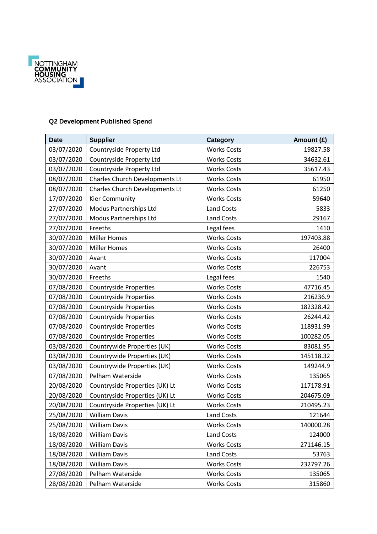

## **Q2 Development Published Spend**

| <b>Date</b> | <b>Supplier</b>                       | Category           | Amount (£) |
|-------------|---------------------------------------|--------------------|------------|
| 03/07/2020  | Countryside Property Ltd              | <b>Works Costs</b> | 19827.58   |
| 03/07/2020  | Countryside Property Ltd              | <b>Works Costs</b> | 34632.61   |
| 03/07/2020  | Countryside Property Ltd              | <b>Works Costs</b> | 35617.43   |
| 08/07/2020  | <b>Charles Church Developments Lt</b> | <b>Works Costs</b> | 61950      |
| 08/07/2020  | <b>Charles Church Developments Lt</b> | <b>Works Costs</b> | 61250      |
| 17/07/2020  | <b>Kier Community</b>                 | <b>Works Costs</b> | 59640      |
| 27/07/2020  | Modus Partnerships Ltd                | <b>Land Costs</b>  | 5833       |
| 27/07/2020  | Modus Partnerships Ltd                | <b>Land Costs</b>  | 29167      |
| 27/07/2020  | Freeths                               | Legal fees         | 1410       |
| 30/07/2020  | <b>Miller Homes</b>                   | <b>Works Costs</b> | 197403.88  |
| 30/07/2020  | <b>Miller Homes</b>                   | <b>Works Costs</b> | 26400      |
| 30/07/2020  | Avant                                 | <b>Works Costs</b> | 117004     |
| 30/07/2020  | Avant                                 | <b>Works Costs</b> | 226753     |
| 30/07/2020  | Freeths                               | Legal fees         | 1540       |
| 07/08/2020  | <b>Countryside Properties</b>         | <b>Works Costs</b> | 47716.45   |
| 07/08/2020  | <b>Countryside Properties</b>         | <b>Works Costs</b> | 216236.9   |
| 07/08/2020  | <b>Countryside Properties</b>         | <b>Works Costs</b> | 182328.42  |
| 07/08/2020  | <b>Countryside Properties</b>         | <b>Works Costs</b> | 26244.42   |
| 07/08/2020  | <b>Countryside Properties</b>         | <b>Works Costs</b> | 118931.99  |
| 07/08/2020  | Countryside Properties                | <b>Works Costs</b> | 100282.05  |
| 03/08/2020  | Countrywide Properties (UK)           | <b>Works Costs</b> | 83081.95   |
| 03/08/2020  | Countrywide Properties (UK)           | <b>Works Costs</b> | 145118.32  |
| 03/08/2020  | Countrywide Properties (UK)           | <b>Works Costs</b> | 149244.9   |
| 07/08/2020  | Pelham Waterside                      | <b>Works Costs</b> | 135065     |
| 20/08/2020  | Countryside Properties (UK) Lt        | <b>Works Costs</b> | 117178.91  |
| 20/08/2020  | Countryside Properties (UK) Lt        | <b>Works Costs</b> | 204675.09  |
| 20/08/2020  | Countryside Properties (UK) Lt        | <b>Works Costs</b> | 210495.23  |
| 25/08/2020  | <b>William Davis</b>                  | <b>Land Costs</b>  | 121644     |
| 25/08/2020  | <b>William Davis</b>                  | <b>Works Costs</b> | 140000.28  |
| 18/08/2020  | <b>William Davis</b>                  | Land Costs         | 124000     |
| 18/08/2020  | <b>William Davis</b>                  | <b>Works Costs</b> | 271146.15  |
| 18/08/2020  | <b>William Davis</b>                  | <b>Land Costs</b>  | 53763      |
| 18/08/2020  | <b>William Davis</b>                  | <b>Works Costs</b> | 232797.26  |
| 27/08/2020  | Pelham Waterside                      | <b>Works Costs</b> | 135065     |
| 28/08/2020  | Pelham Waterside                      | <b>Works Costs</b> | 315860     |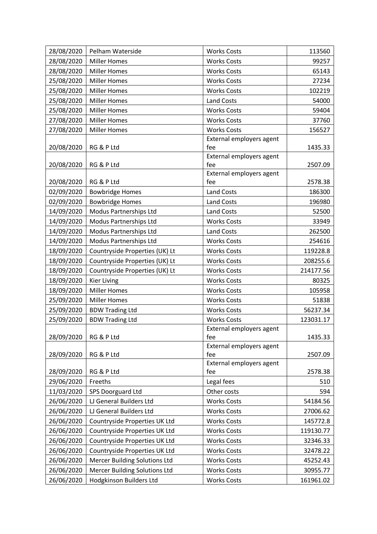| 28/08/2020 | Pelham Waterside                     | <b>Works Costs</b>              | 113560    |
|------------|--------------------------------------|---------------------------------|-----------|
| 28/08/2020 | <b>Miller Homes</b>                  | <b>Works Costs</b>              | 99257     |
| 28/08/2020 | <b>Miller Homes</b>                  | <b>Works Costs</b>              | 65143     |
| 25/08/2020 | <b>Miller Homes</b>                  | <b>Works Costs</b>              | 27234     |
| 25/08/2020 | <b>Miller Homes</b>                  | <b>Works Costs</b>              | 102219    |
| 25/08/2020 | <b>Miller Homes</b>                  | <b>Land Costs</b>               | 54000     |
| 25/08/2020 | <b>Miller Homes</b>                  | <b>Works Costs</b>              | 59404     |
| 27/08/2020 | <b>Miller Homes</b>                  | <b>Works Costs</b>              | 37760     |
| 27/08/2020 | <b>Miller Homes</b>                  | <b>Works Costs</b>              | 156527    |
|            |                                      | External employers agent        |           |
| 20/08/2020 | RG & P Ltd                           | fee                             | 1435.33   |
|            |                                      | External employers agent        |           |
| 20/08/2020 | RG & P Ltd                           | fee                             | 2507.09   |
| 20/08/2020 | RG & P Ltd                           | External employers agent<br>fee | 2578.38   |
| 02/09/2020 | <b>Bowbridge Homes</b>               | <b>Land Costs</b>               | 186300    |
| 02/09/2020 | <b>Bowbridge Homes</b>               | <b>Land Costs</b>               | 196980    |
| 14/09/2020 | Modus Partnerships Ltd               | <b>Land Costs</b>               | 52500     |
| 14/09/2020 | Modus Partnerships Ltd               | <b>Works Costs</b>              | 33949     |
| 14/09/2020 | Modus Partnerships Ltd               | <b>Land Costs</b>               | 262500    |
| 14/09/2020 | Modus Partnerships Ltd               | <b>Works Costs</b>              | 254616    |
| 18/09/2020 | Countryside Properties (UK) Lt       | <b>Works Costs</b>              | 119228.8  |
| 18/09/2020 | Countryside Properties (UK) Lt       | <b>Works Costs</b>              | 208255.6  |
| 18/09/2020 | Countryside Properties (UK) Lt       | <b>Works Costs</b>              | 214177.56 |
| 18/09/2020 | <b>Kier Living</b>                   | <b>Works Costs</b>              | 80325     |
| 18/09/2020 | <b>Miller Homes</b>                  | <b>Works Costs</b>              | 105958    |
| 25/09/2020 | <b>Miller Homes</b>                  | <b>Works Costs</b>              | 51838     |
| 25/09/2020 | <b>BDW Trading Ltd</b>               | <b>Works Costs</b>              | 56237.34  |
| 25/09/2020 | <b>BDW Trading Ltd</b>               | <b>Works Costs</b>              | 123031.17 |
|            |                                      | External employers agent        |           |
| 28/09/2020 | RG & P Ltd                           | fee                             | 1435.33   |
|            |                                      | External employers agent        |           |
| 28/09/2020 | RG & P Ltd                           | fee                             | 2507.09   |
|            |                                      | External employers agent        |           |
| 28/09/2020 | RG & P Ltd                           | fee                             | 2578.38   |
| 29/06/2020 | Freeths                              | Legal fees                      | 510       |
| 11/03/2020 | SPS Doorguard Ltd                    | Other costs                     | 594       |
| 26/06/2020 | LJ General Builders Ltd              | <b>Works Costs</b>              | 54184.56  |
| 26/06/2020 | LJ General Builders Ltd              | <b>Works Costs</b>              | 27006.62  |
| 26/06/2020 | Countryside Properties UK Ltd        | <b>Works Costs</b>              | 145772.8  |
| 26/06/2020 | Countryside Properties UK Ltd        | <b>Works Costs</b>              | 119130.77 |
| 26/06/2020 | Countryside Properties UK Ltd        | <b>Works Costs</b>              | 32346.33  |
| 26/06/2020 | Countryside Properties UK Ltd        | <b>Works Costs</b>              | 32478.22  |
| 26/06/2020 | <b>Mercer Building Solutions Ltd</b> | <b>Works Costs</b>              | 45252.43  |
| 26/06/2020 | <b>Mercer Building Solutions Ltd</b> | <b>Works Costs</b>              | 30955.77  |
| 26/06/2020 | Hodgkinson Builders Ltd              | <b>Works Costs</b>              | 161961.02 |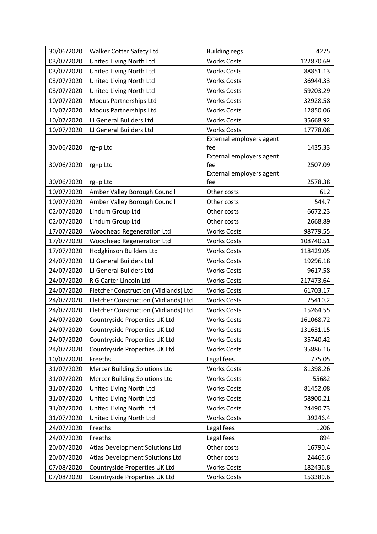| 30/06/2020 | Walker Cotter Safety Ltd             | <b>Building regs</b>            | 4275      |
|------------|--------------------------------------|---------------------------------|-----------|
| 03/07/2020 | United Living North Ltd              | <b>Works Costs</b>              | 122870.69 |
| 03/07/2020 | United Living North Ltd              | <b>Works Costs</b>              | 88851.13  |
| 03/07/2020 | United Living North Ltd              | <b>Works Costs</b>              | 36944.33  |
| 03/07/2020 | United Living North Ltd              | <b>Works Costs</b>              | 59203.29  |
| 10/07/2020 | Modus Partnerships Ltd               | <b>Works Costs</b>              | 32928.58  |
| 10/07/2020 | Modus Partnerships Ltd               | <b>Works Costs</b>              | 12850.06  |
| 10/07/2020 | LJ General Builders Ltd              | <b>Works Costs</b>              | 35668.92  |
| 10/07/2020 | LJ General Builders Ltd              | <b>Works Costs</b>              | 17778.08  |
|            |                                      | External employers agent        |           |
| 30/06/2020 | rg+p Ltd                             | fee                             | 1435.33   |
|            |                                      | External employers agent        |           |
| 30/06/2020 | rg+p Ltd                             | fee<br>External employers agent | 2507.09   |
| 30/06/2020 | rg+p Ltd                             | fee                             | 2578.38   |
| 10/07/2020 | Amber Valley Borough Council         | Other costs                     | 612       |
| 10/07/2020 | Amber Valley Borough Council         | Other costs                     | 544.7     |
| 02/07/2020 | Lindum Group Ltd                     | Other costs                     | 6672.23   |
| 02/07/2020 | Lindum Group Ltd                     | Other costs                     | 2668.89   |
| 17/07/2020 | <b>Woodhead Regeneration Ltd</b>     | <b>Works Costs</b>              | 98779.55  |
| 17/07/2020 | <b>Woodhead Regeneration Ltd</b>     | <b>Works Costs</b>              | 108740.51 |
| 17/07/2020 | <b>Hodgkinson Builders Ltd</b>       | <b>Works Costs</b>              | 118429.05 |
| 24/07/2020 | LJ General Builders Ltd              | <b>Works Costs</b>              | 19296.18  |
| 24/07/2020 | LJ General Builders Ltd              | <b>Works Costs</b>              | 9617.58   |
| 24/07/2020 | R G Carter Lincoln Ltd               | <b>Works Costs</b>              | 217473.64 |
| 24/07/2020 | Fletcher Construction (Midlands) Ltd | <b>Works Costs</b>              | 61703.17  |
| 24/07/2020 | Fletcher Construction (Midlands) Ltd | <b>Works Costs</b>              | 25410.2   |
| 24/07/2020 | Fletcher Construction (Midlands) Ltd | <b>Works Costs</b>              | 15264.55  |
| 24/07/2020 | Countryside Properties UK Ltd        | <b>Works Costs</b>              | 161068.72 |
| 24/07/2020 | Countryside Properties UK Ltd        | <b>Works Costs</b>              | 131631.15 |
| 24/07/2020 | Countryside Properties UK Ltd        | <b>Works Costs</b>              | 35740.42  |
| 24/07/2020 | Countryside Properties UK Ltd        | <b>Works Costs</b>              | 35886.16  |
| 10/07/2020 | Freeths                              | Legal fees                      | 775.05    |
| 31/07/2020 | <b>Mercer Building Solutions Ltd</b> | <b>Works Costs</b>              | 81398.26  |
| 31/07/2020 | <b>Mercer Building Solutions Ltd</b> | <b>Works Costs</b>              | 55682     |
| 31/07/2020 | United Living North Ltd              | <b>Works Costs</b>              | 81452.08  |
| 31/07/2020 | United Living North Ltd              | <b>Works Costs</b>              | 58900.21  |
| 31/07/2020 | United Living North Ltd              | <b>Works Costs</b>              | 24490.73  |
| 31/07/2020 | United Living North Ltd              | <b>Works Costs</b>              | 39246.4   |
| 24/07/2020 | Freeths                              | Legal fees                      | 1206      |
| 24/07/2020 | Freeths                              | Legal fees                      | 894       |
| 20/07/2020 | Atlas Development Solutions Ltd      | Other costs                     | 16790.4   |
| 20/07/2020 | Atlas Development Solutions Ltd      | Other costs                     | 24465.6   |
| 07/08/2020 | Countryside Properties UK Ltd        | <b>Works Costs</b>              | 182436.8  |
| 07/08/2020 | Countryside Properties UK Ltd        | <b>Works Costs</b>              | 153389.6  |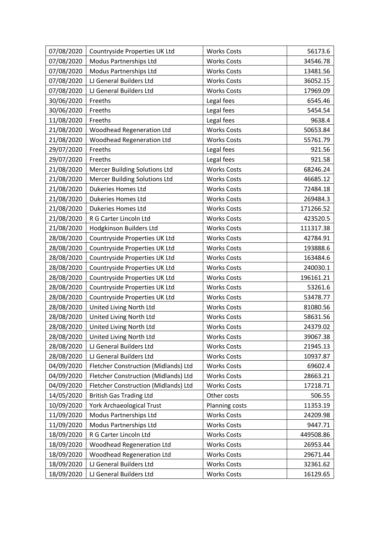| 07/08/2020 | Countryside Properties UK Ltd        | <b>Works Costs</b> | 56173.6   |
|------------|--------------------------------------|--------------------|-----------|
| 07/08/2020 | Modus Partnerships Ltd               | <b>Works Costs</b> | 34546.78  |
| 07/08/2020 | Modus Partnerships Ltd               | <b>Works Costs</b> | 13481.56  |
| 07/08/2020 | LJ General Builders Ltd              | <b>Works Costs</b> | 36052.15  |
| 07/08/2020 | LJ General Builders Ltd              | <b>Works Costs</b> | 17969.09  |
| 30/06/2020 | Freeths                              | Legal fees         | 6545.46   |
| 30/06/2020 | Freeths                              | Legal fees         | 5454.54   |
| 11/08/2020 | Freeths                              | Legal fees         | 9638.4    |
| 21/08/2020 | <b>Woodhead Regeneration Ltd</b>     | <b>Works Costs</b> | 50653.84  |
| 21/08/2020 | <b>Woodhead Regeneration Ltd</b>     | <b>Works Costs</b> | 55761.79  |
| 29/07/2020 | Freeths                              | Legal fees         | 921.56    |
| 29/07/2020 | Freeths                              | Legal fees         | 921.58    |
| 21/08/2020 | <b>Mercer Building Solutions Ltd</b> | <b>Works Costs</b> | 68246.24  |
| 21/08/2020 | <b>Mercer Building Solutions Ltd</b> | <b>Works Costs</b> | 46685.12  |
| 21/08/2020 | <b>Dukeries Homes Ltd</b>            | <b>Works Costs</b> | 72484.18  |
| 21/08/2020 | Dukeries Homes Ltd                   | <b>Works Costs</b> | 269484.3  |
| 21/08/2020 | <b>Dukeries Homes Ltd</b>            | <b>Works Costs</b> | 171266.52 |
| 21/08/2020 | R G Carter Lincoln Ltd               | <b>Works Costs</b> | 423520.5  |
| 21/08/2020 | Hodgkinson Builders Ltd              | <b>Works Costs</b> | 111317.38 |
| 28/08/2020 | Countryside Properties UK Ltd        | <b>Works Costs</b> | 42784.91  |
| 28/08/2020 | Countryside Properties UK Ltd        | <b>Works Costs</b> | 193888.6  |
| 28/08/2020 | Countryside Properties UK Ltd        | <b>Works Costs</b> | 163484.6  |
| 28/08/2020 | Countryside Properties UK Ltd        | <b>Works Costs</b> | 240030.1  |
| 28/08/2020 | Countryside Properties UK Ltd        | <b>Works Costs</b> | 196161.21 |
| 28/08/2020 | Countryside Properties UK Ltd        | <b>Works Costs</b> | 53261.6   |
| 28/08/2020 | Countryside Properties UK Ltd        | <b>Works Costs</b> | 53478.77  |
| 28/08/2020 | United Living North Ltd              | <b>Works Costs</b> | 81080.56  |
| 28/08/2020 | United Living North Ltd              | <b>Works Costs</b> | 58631.56  |
| 28/08/2020 | United Living North Ltd              | <b>Works Costs</b> | 24379.02  |
| 28/08/2020 | United Living North Ltd              | <b>Works Costs</b> | 39067.38  |
| 28/08/2020 | LJ General Builders Ltd              | <b>Works Costs</b> | 21945.13  |
| 28/08/2020 | LJ General Builders Ltd              | <b>Works Costs</b> | 10937.87  |
| 04/09/2020 | Fletcher Construction (Midlands) Ltd | <b>Works Costs</b> | 69602.4   |
| 04/09/2020 | Fletcher Construction (Midlands) Ltd | <b>Works Costs</b> | 28663.21  |
| 04/09/2020 | Fletcher Construction (Midlands) Ltd | <b>Works Costs</b> | 17218.71  |
| 14/05/2020 | <b>British Gas Trading Ltd</b>       | Other costs        | 506.55    |
| 10/09/2020 | York Archaeological Trust            | Planning costs     | 11353.19  |
| 11/09/2020 | Modus Partnerships Ltd               | <b>Works Costs</b> | 24209.98  |
| 11/09/2020 | Modus Partnerships Ltd               | <b>Works Costs</b> | 9447.71   |
| 18/09/2020 | R G Carter Lincoln Ltd               | <b>Works Costs</b> | 449508.86 |
| 18/09/2020 | <b>Woodhead Regeneration Ltd</b>     | <b>Works Costs</b> | 26953.44  |
| 18/09/2020 | <b>Woodhead Regeneration Ltd</b>     | <b>Works Costs</b> | 29671.44  |
| 18/09/2020 | LJ General Builders Ltd              | <b>Works Costs</b> | 32361.62  |
| 18/09/2020 | LJ General Builders Ltd              | <b>Works Costs</b> | 16129.65  |